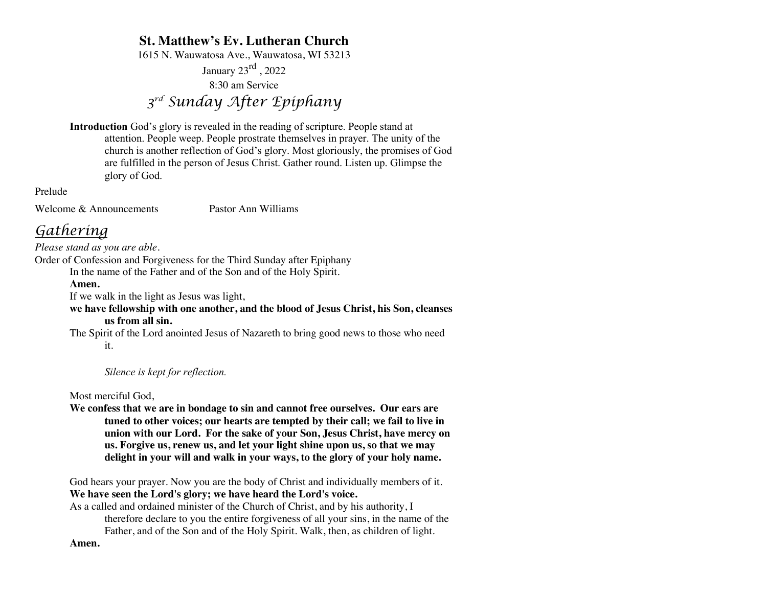# **St. Matthew's Ev. Lutheran Church**

1615 N. Wauwatosa Ave., Wauwatosa, WI 53213

January  $23^{\text{rd}}$ , 2022

8:30 am Service

# *3rd Sunday After Epiphany*

**Introduction** God's glory is revealed in the reading of scripture. People stand at attention. People weep. People prostrate themselves in prayer. The unity of the church is another reflection of God's glory. Most gloriously, the promises of God are fulfilled in the person of Jesus Christ. Gather round. Listen up. Glimpse the glory of God.

Prelude

Welcome & Announcements Pastor Ann Williams

# *Gathering*

*Please stand as you are able.*

Order of Confession and Forgiveness for the Third Sunday after Epiphany

In the name of the Father and of the Son and of the Holy Spirit.

## **Amen.**

If we walk in the light as Jesus was light,

**we have fellowship with one another, and the blood of Jesus Christ, his Son, cleanses us from all sin.**

The Spirit of the Lord anointed Jesus of Nazareth to bring good news to those who need it.

*Silence is kept for reflection.*

Most merciful God,

**We confess that we are in bondage to sin and cannot free ourselves. Our ears are tuned to other voices; our hearts are tempted by their call; we fail to live in union with our Lord. For the sake of your Son, Jesus Christ, have mercy on us. Forgive us, renew us, and let your light shine upon us, so that we may delight in your will and walk in your ways, to the glory of your holy name.**

God hears your prayer. Now you are the body of Christ and individually members of it. **We have seen the Lord's glory; we have heard the Lord's voice.**

As a called and ordained minister of the Church of Christ, and by his authority, I therefore declare to you the entire forgiveness of all your sins, in the name of the Father, and of the Son and of the Holy Spirit. Walk, then, as children of light.

**Amen.**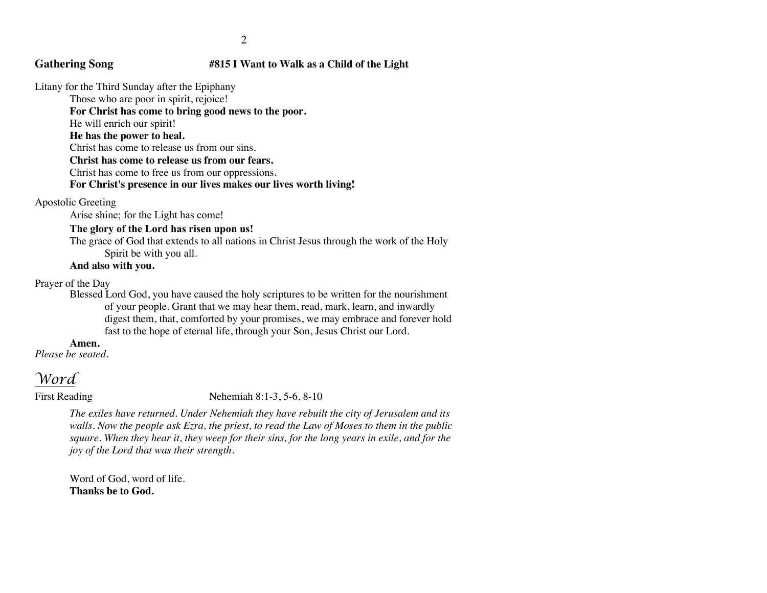## **Gathering Song #815 I Want to Walk as a Child of the Light**

Litany for the Third Sunday after the Epiphany

Those who are poor in spirit, rejoice!

**For Christ has come to bring good news to the poor.**

He will enrich our spirit!

**He has the power to heal.**

Christ has come to release us from our sins.

**Christ has come to release us from our fears.**

Christ has come to free us from our oppressions.

**For Christ's presence in our lives makes our lives worth living!**

Apostolic Greeting

Arise shine; for the Light has come!

### **The glory of the Lord has risen upon us!**

The grace of God that extends to all nations in Christ Jesus through the work of the Holy Spirit be with you all.

### **And also with you.**

Prayer of the Day

Blessed Lord God, you have caused the holy scriptures to be written for the nourishment of your people. Grant that we may hear them, read, mark, learn, and inwardly digest them, that, comforted by your promises, we may embrace and forever hold fast to the hope of eternal life, through your Son, Jesus Christ our Lord.

### **Amen.**

*Please be seated.*

# *Word*

First Reading Nehemiah 8:1-3, 5-6, 8-10

*The exiles have returned. Under Nehemiah they have rebuilt the city of Jerusalem and its walls. Now the people ask Ezra, the priest, to read the Law of Moses to them in the public square. When they hear it, they weep for their sins, for the long years in exile, and for the joy of the Lord that was their strength.*

Word of God, word of life. **Thanks be to God.**

#### 2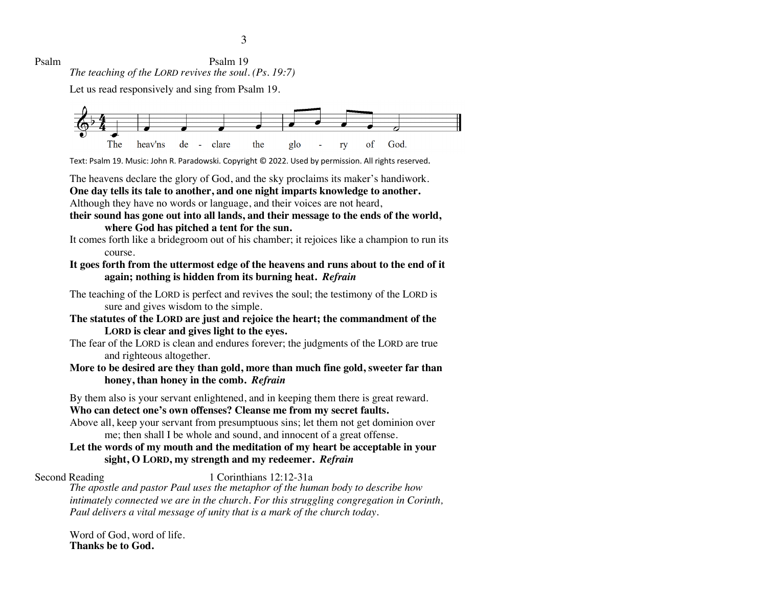3

Psalm Psalm 19 *The teaching of the LORD revives the soul. (Ps. 19:7)*

Let us read responsively and sing from Psalm 19.



Text: Psalm 19. Music: John R. Paradowski. Copyright © 2022. Used by permission. All rights reserved.

The heavens declare the glory of God, and the sky proclaims its maker's handiwork.

**One day tells its tale to another, and one night imparts knowledge to another.** Although they have no words or language, and their voices are not heard,

## **their sound has gone out into all lands, and their message to the ends of the world, where God has pitched a tent for the sun.**

It comes forth like a bridegroom out of his chamber; it rejoices like a champion to run its course.

# **It goes forth from the uttermost edge of the heavens and runs about to the end of it again; nothing is hidden from its burning heat.** *Refrain*

The teaching of the LORD is perfect and revives the soul; the testimony of the LORD is sure and gives wisdom to the simple.

- **The statutes of the LORD are just and rejoice the heart; the commandment of the LORD is clear and gives light to the eyes.**
- The fear of the LORD is clean and endures forever; the judgments of the LORD are true and righteous altogether.
- **More to be desired are they than gold, more than much fine gold, sweeter far than honey, than honey in the comb.** *Refrain*

By them also is your servant enlightened, and in keeping them there is great reward.

# **Who can detect one's own offenses? Cleanse me from my secret faults.**

Above all, keep your servant from presumptuous sins; let them not get dominion over me; then shall I be whole and sound, and innocent of a great offense.

# **Let the words of my mouth and the meditation of my heart be acceptable in your sight, O LORD, my strength and my redeemer.** *Refrain*

Second Reading 1 Corinthians 12:12-31a

*The apostle and pastor Paul uses the metaphor of the human body to describe how intimately connected we are in the church. For this struggling congregation in Corinth, Paul delivers a vital message of unity that is a mark of the church today.*

Word of God, word of life. **Thanks be to God.**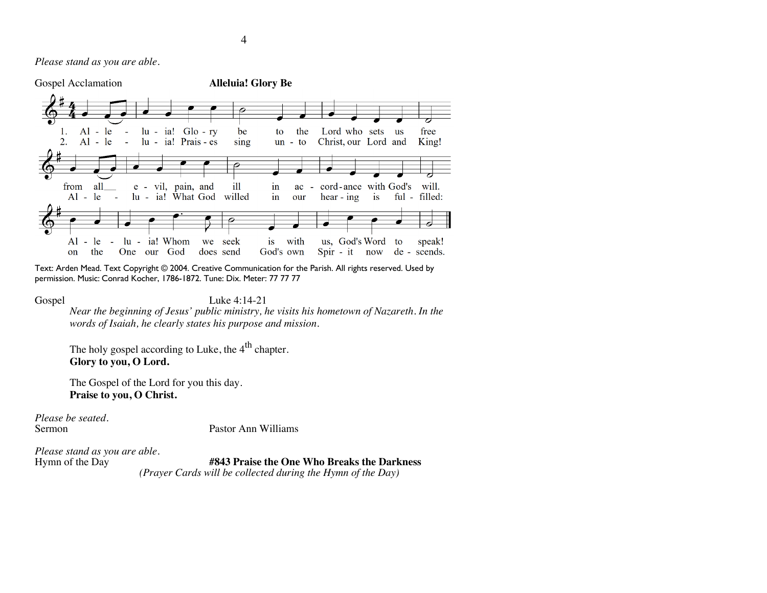*Please stand as you are able.*



Text: Arden Mead. Text Copyright © 2004. Creative Communication for the Parish. All rights reserved. Used by permission. Music: Conrad Kocher, 1786-1872. Tune: Dix. Meter: 77 77 77

#### Gospel Luke 4:14-21

*Near the beginning of Jesus' public ministry, he visits his hometown of Nazareth. In the words of Isaiah, he clearly states his purpose and mission.*

The holy gospel according to Luke, the 4<sup>th</sup> chapter. **Glory to you, O Lord.**

The Gospel of the Lord for you this day. **Praise to you, O Christ.**

*Please be seated.*

Pastor Ann Williams

*Please stand as you are able.*

Hymn of the Day **#843 Praise the One Who Breaks the Darkness**

*(Prayer Cards will be collected during the Hymn of the Day)*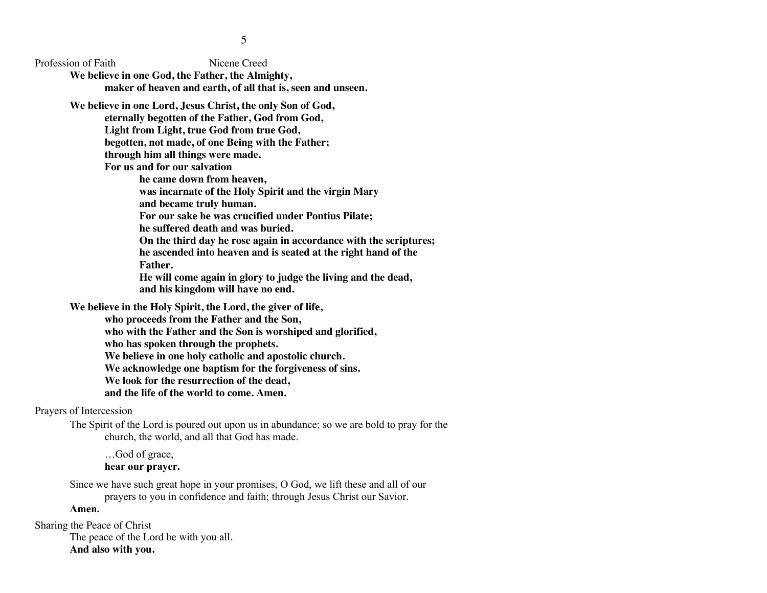Profession of Faith Nicene Creed

**We believe in one God, the Father, the Almighty, maker of heaven and earth, of all that is, seen and unseen.**

**We believe in one Lord, Jesus Christ, the only Son of God,** 

**eternally begotten of the Father, God from God,** 

**Light from Light, true God from true God,** 

**begotten, not made, of one Being with the Father;** 

**through him all things were made.**

**For us and for our salvation** 

**he came down from heaven,** 

**was incarnate of the Holy Spirit and the virgin Mary**

**and became truly human.** 

**For our sake he was crucified under Pontius Pilate;** 

**he suffered death and was buried.** 

**On the third day he rose again in accordance with the scriptures; he ascended into heaven and is seated at the right hand of the Father.** 

**He will come again in glory to judge the living and the dead, and his kingdom will have no end.**

**We believe in the Holy Spirit, the Lord, the giver of life,** 

**who proceeds from the Father and the Son,** 

**who with the Father and the Son is worshiped and glorified,** 

**who has spoken through the prophets.** 

**We believe in one holy catholic and apostolic church.** 

**We acknowledge one baptism for the forgiveness of sins.** 

**We look for the resurrection of the dead,** 

**and the life of the world to come. Amen.**

Prayers of Intercession

The Spirit of the Lord is poured out upon us in abundance; so we are bold to pray for the church, the world, and all that God has made.

…God of grace, **hear our prayer.**

Since we have such great hope in your promises, O God, we lift these and all of our prayers to you in confidence and faith; through Jesus Christ our Savior.

# **Amen.**

Sharing the Peace of Christ The peace of the Lord be with you all.

### **And also with you.**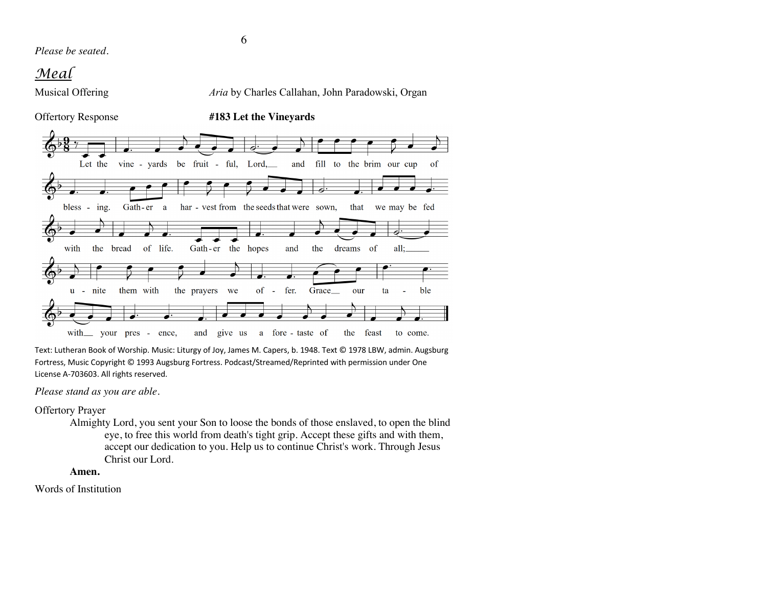*Please be seated.*

# *Meal*

Offertory Response **#183 Let the Vineyards**

# Musical Offering *Aria* by Charles Callahan, John Paradowski, Organ



Text: Lutheran Book of Worship. Music: Liturgy of Joy, James M. Capers, b. 1948. Text © 1978 LBW, admin. Augsburg Fortress, Music Copyright © 1993 Augsburg Fortress. Podcast/Streamed/Reprinted with permission under One License A-703603. All rights reserved.

*Please stand as you are able.*

Offertory Prayer

Almighty Lord, you sent your Son to loose the bonds of those enslaved, to open the blind eye, to free this world from death's tight grip. Accept these gifts and with them, accept our dedication to you. Help us to continue Christ's work. Through Jesus Christ our Lord.

## **Amen.**

Words of Institution

6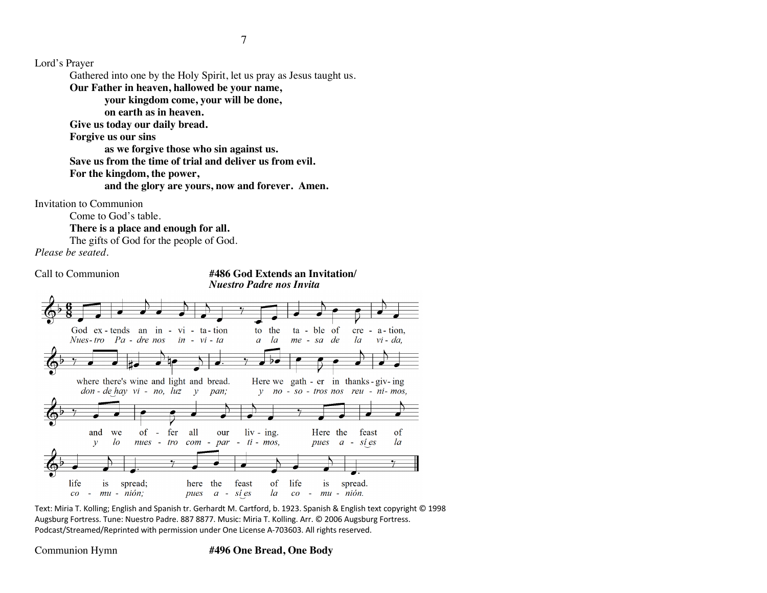Lord's Prayer

Gathered into one by the Holy Spirit, let us pray as Jesus taught us.

**Our Father in heaven, hallowed be your name,** 

**your kingdom come, your will be done,** 

**on earth as in heaven.**

**Give us today our daily bread.** 

**Forgive us our sins** 

**as we forgive those who sin against us.** 

**Save us from the time of trial and deliver us from evil.**

**For the kingdom, the power,** 

**and the glory are yours, now and forever. Amen.**

Invitation to Communion

Come to God's table.

**There is a place and enough for all.**

The gifts of God for the people of God.

*Please be seated.*





Text: Miria T. Kolling; English and Spanish tr. Gerhardt M. Cartford, b. 1923. Spanish & English text copyright © 1998 Augsburg Fortress. Tune: Nuestro Padre. 887 8877. Music: Miria T. Kolling. Arr. © 2006 Augsburg Fortress. Podcast/Streamed/Reprinted with permission under One License A-703603. All rights reserved.

### Communion Hymn **#496 One Bread, One Body**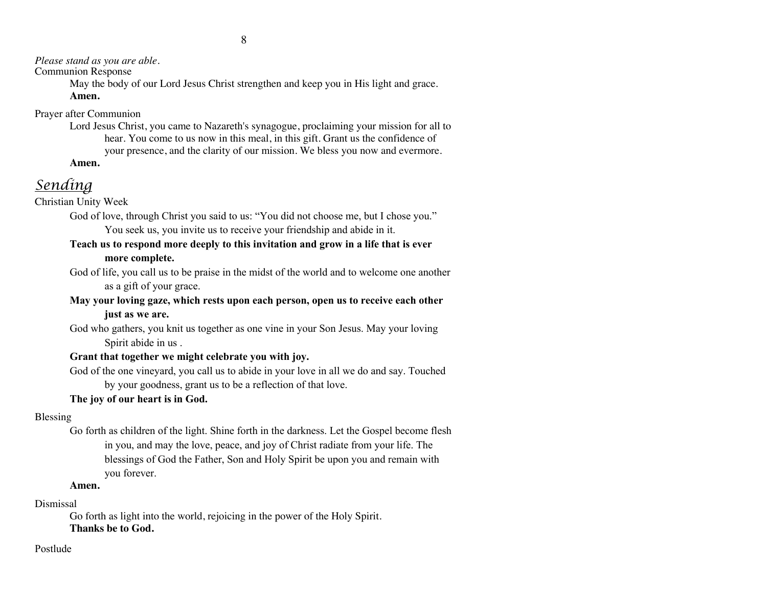8

# *Please stand as you are able.*

# Communion Response

May the body of our Lord Jesus Christ strengthen and keep you in His light and grace. **Amen.**

Prayer after Communion

Lord Jesus Christ, you came to Nazareth's synagogue, proclaiming your mission for all to hear. You come to us now in this meal, in this gift. Grant us the confidence of your presence, and the clarity of our mission. We bless you now and evermore.

**Amen.**

# *Sending*

Christian Unity Week

God of love, through Christ you said to us: "You did not choose me, but I chose you."

You seek us, you invite us to receive your friendship and abide in it.

# **Teach us to respond more deeply to this invitation and grow in a life that is ever more complete.**

God of life, you call us to be praise in the midst of the world and to welcome one another as a gift of your grace.

# **May your loving gaze, which rests upon each person, open us to receive each other just as we are.**

God who gathers, you knit us together as one vine in your Son Jesus. May your loving Spirit abide in us .

# **Grant that together we might celebrate you with joy.**

God of the one vineyard, you call us to abide in your love in all we do and say. Touched by your goodness, grant us to be a reflection of that love.

# **The joy of our heart is in God.**

# Blessing

Go forth as children of the light. Shine forth in the darkness. Let the Gospel become flesh in you, and may the love, peace, and joy of Christ radiate from your life. The blessings of God the Father, Son and Holy Spirit be upon you and remain with you forever.

# **Amen.**

# Dismissal

Go forth as light into the world, rejoicing in the power of the Holy Spirit. **Thanks be to God.**

# Postlude